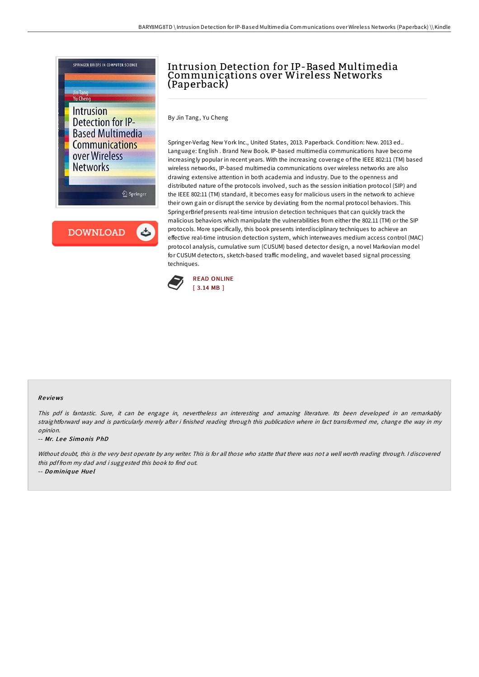

## Intrusion Detection for IP-Based Multimedia Communications over Wireless Networks (Paperback)

By Jin Tang, Yu Cheng

Springer-Verlag New York Inc., United States, 2013. Paperback. Condition: New. 2013 ed.. Language: English . Brand New Book. IP-based multimedia communications have become increasingly popular in recent years. With the increasing coverage of the IEEE 802:11 (TM) based wireless networks, IP-based multimedia communications over wireless networks are also drawing extensive attention in both academia and industry. Due to the openness and distributed nature of the protocols involved, such as the session initiation protocol (SIP) and the IEEE 802:11 (TM) standard, it becomes easy for malicious users in the network to achieve their own gain or disrupt the service by deviating from the normal protocol behaviors. This SpringerBrief presents real-time intrusion detection techniques that can quickly track the malicious behaviors which manipulate the vulnerabilities from either the 802.11 (TM) or the SIP protocols. More specifically, this book presents interdisciplinary techniques to achieve an effective real-time intrusion detection system, which interweaves medium access control (MAC) protocol analysis, cumulative sum (CUSUM) based detector design, a novel Markovian model for CUSUM detectors, sketch-based traffic modeling, and wavelet based signal processing techniques.



#### Re views

This pdf is fantastic. Sure, it can be engage in, nevertheless an interesting and amazing literature. Its been developed in an remarkably straightforward way and is particularly merely after i finished reading through this publication where in fact transformed me, change the way in my opinion.

-- Mr. Lee Simonis PhD

Without doubt, this is the very best operate by any writer. This is for all those who statte that there was not a well worth reading through. I discovered this pdf from my dad and i suggested this book to find out.

-- Do miniq ue Hue l